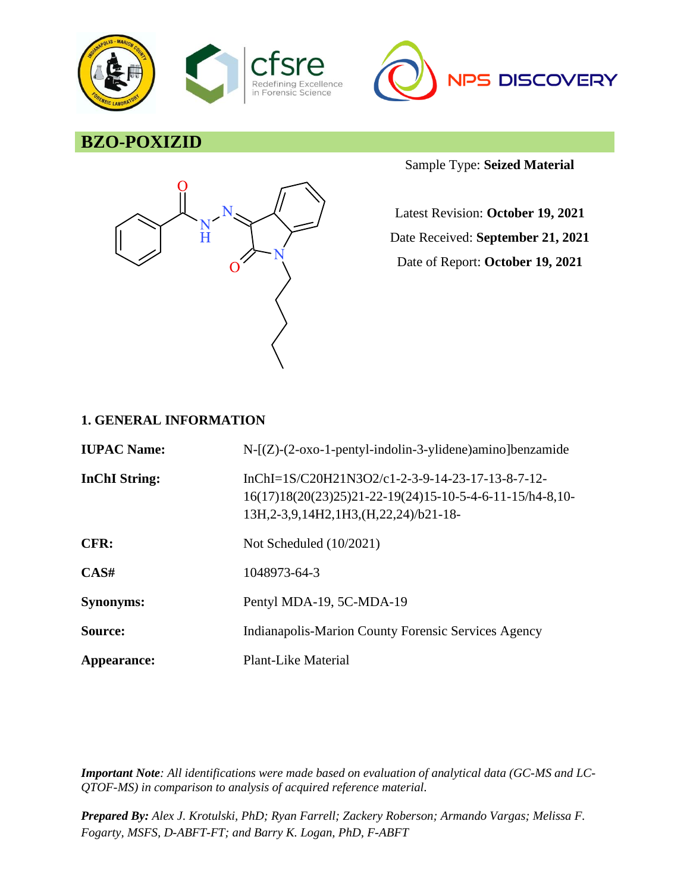



# **BZO-POXIZID**



Sample Type: **Seized Material**

Latest Revision: **October 19, 2021** Date Received: **September 21, 2021** Date of Report: **October 19, 2021**

### **1. GENERAL INFORMATION**

| <b>IUPAC Name:</b>   | $N-[Z)-(2-oxo-1-penty1-indolin-3-ylidene)$ amino]benzamide                                                                                                       |
|----------------------|------------------------------------------------------------------------------------------------------------------------------------------------------------------|
| <b>InChI</b> String: | InChI=1S/C20H21N3O2/c1-2-3-9-14-23-17-13-8-7-12-<br>$16(17)18(20(23)25)21-22-19(24)15-10-5-4-6-11-15/h4-8,10-$<br>13H, 2-3, 9, 14H 2, 1H 3, (H, 22, 24) /b21-18- |
| CFR:                 | Not Scheduled $(10/2021)$                                                                                                                                        |
| CAS#                 | 1048973-64-3                                                                                                                                                     |
| <b>Synonyms:</b>     | Pentyl MDA-19, 5C-MDA-19                                                                                                                                         |
| Source:              | Indianapolis-Marion County Forensic Services Agency                                                                                                              |
| Appearance:          | Plant-Like Material                                                                                                                                              |

*Important Note: All identifications were made based on evaluation of analytical data (GC-MS and LC-QTOF-MS) in comparison to analysis of acquired reference material.*

*Prepared By: Alex J. Krotulski, PhD; Ryan Farrell; Zackery Roberson; Armando Vargas; Melissa F. Fogarty, MSFS, D-ABFT-FT; and Barry K. Logan, PhD, F-ABFT*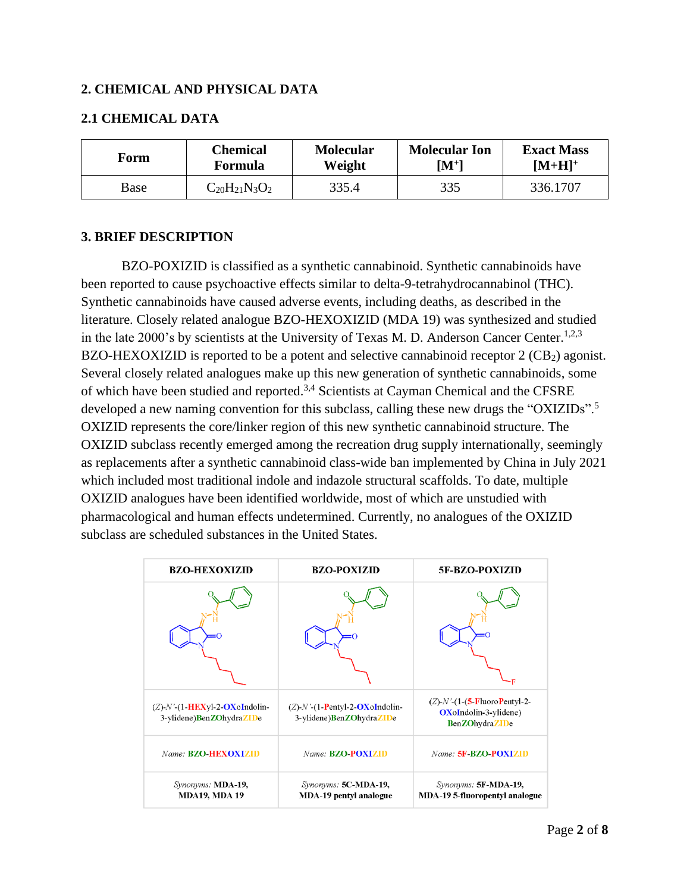### **2. CHEMICAL AND PHYSICAL DATA**

### **2.1 CHEMICAL DATA**

| Form | <b>Chemical</b>      | <b>Molecular</b> | <b>Molecular Ion</b> | <b>Exact Mass</b> |
|------|----------------------|------------------|----------------------|-------------------|
|      | Formula              | Weight           | $\mathbf{[M^{+}]}$   | $[M+H]^{+}$       |
| Base | $C_{20}H_{21}N_3O_2$ | 335.4            | 335                  | 336.1707          |

### **3. BRIEF DESCRIPTION**

BZO-POXIZID is classified as a synthetic cannabinoid. Synthetic cannabinoids have been reported to cause psychoactive effects similar to delta-9-tetrahydrocannabinol (THC). Synthetic cannabinoids have caused adverse events, including deaths, as described in the literature. Closely related analogue BZO-HEXOXIZID (MDA 19) was synthesized and studied in the late 2000's by scientists at the University of Texas M. D. Anderson Cancer Center.<sup>1,2,3</sup> BZO-HEXOXIZID is reported to be a potent and selective cannabinoid receptor  $2$  (CB<sub>2</sub>) agonist. Several closely related analogues make up this new generation of synthetic cannabinoids, some of which have been studied and reported.3,4 Scientists at Cayman Chemical and the CFSRE developed a new naming convention for this subclass, calling these new drugs the "OXIZIDs".<sup>5</sup> OXIZID represents the core/linker region of this new synthetic cannabinoid structure. The OXIZID subclass recently emerged among the recreation drug supply internationally, seemingly as replacements after a synthetic cannabinoid class-wide ban implemented by China in July 2021 which included most traditional indole and indazole structural scaffolds. To date, multiple OXIZID analogues have been identified worldwide, most of which are unstudied with pharmacological and human effects undetermined. Currently, no analogues of the OXIZID subclass are scheduled substances in the United States.

| <b>BZO-HEXOXIZID</b>                                             | <b>BZO-POXIZID</b>                                                | 5F-BZO-POXIZID                                                                                        |
|------------------------------------------------------------------|-------------------------------------------------------------------|-------------------------------------------------------------------------------------------------------|
|                                                                  |                                                                   |                                                                                                       |
| $(Z)$ -N'- $(1$ -HEXyl-2-OXoIndolin-<br>3-ylidene)BenZOhydraZIDe | $(Z)$ -N'- $(1-$ Pentyl-2-OXoIndolin-<br>3-ylidene)BenZOhydraZIDe | $(Z)$ - $N'$ - $(1$ - $(5$ -FluoroPentyl-2-<br><b>OX</b> oIndolin-3-ylidene)<br><b>BenZOhydraZIDe</b> |
| Name: <b>BZO-HEXOXIZID</b>                                       | Name: <b>BZO-POXIZID</b>                                          | Name: 5F-BZO-POXIZID                                                                                  |
| Synonyms: MDA-19,<br><b>MDA19, MDA19</b>                         | Synonyms: 5C-MDA-19,<br><b>MDA-19 pentyl analogue</b>             | Synonyms: 5F-MDA-19,<br><b>MDA-19 5-fluoropentyl analogue</b>                                         |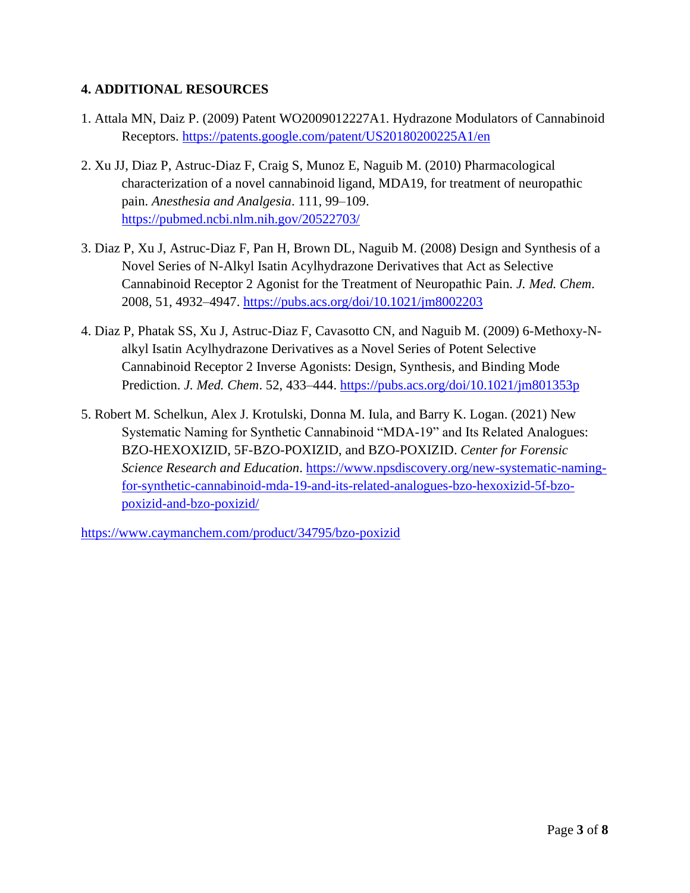## **4. ADDITIONAL RESOURCES**

- 1. Attala MN, Daiz P. (2009) Patent WO2009012227A1. Hydrazone Modulators of Cannabinoid Receptors.<https://patents.google.com/patent/US20180200225A1/en>
- 2. Xu JJ, Diaz P, Astruc-Diaz F, Craig S, Munoz E, Naguib M. (2010) Pharmacological characterization of a novel cannabinoid ligand, MDA19, for treatment of neuropathic pain. *Anesthesia and Analgesia*. 111, 99–109. <https://pubmed.ncbi.nlm.nih.gov/20522703/>
- 3. Diaz P, Xu J, Astruc-Diaz F, Pan H, Brown DL, Naguib M. (2008) Design and Synthesis of a Novel Series of N-Alkyl Isatin Acylhydrazone Derivatives that Act as Selective Cannabinoid Receptor 2 Agonist for the Treatment of Neuropathic Pain. *J. Med. Chem*. 2008, 51, 4932–4947.<https://pubs.acs.org/doi/10.1021/jm8002203>
- 4. Diaz P, Phatak SS, Xu J, Astruc-Diaz F, Cavasotto CN, and Naguib M. (2009) 6-Methoxy-Nalkyl Isatin Acylhydrazone Derivatives as a Novel Series of Potent Selective Cannabinoid Receptor 2 Inverse Agonists: Design, Synthesis, and Binding Mode Prediction. *J. Med. Chem*. 52, 433–444.<https://pubs.acs.org/doi/10.1021/jm801353p>
- 5. Robert M. Schelkun, Alex J. Krotulski, Donna M. Iula, and Barry K. Logan. (2021) New Systematic Naming for Synthetic Cannabinoid "MDA-19" and Its Related Analogues: BZO-HEXOXIZID, 5F-BZO-POXIZID, and BZO-POXIZID. *Center for Forensic Science Research and Education*. [https://www.npsdiscovery.org/new-systematic-naming](https://www.npsdiscovery.org/new-systematic-naming-for-synthetic-cannabinoid-mda-19-and-its-related-analogues-bzo-hexoxizid-5f-bzo-poxizid-and-bzo-poxizid/)[for-synthetic-cannabinoid-mda-19-and-its-related-analogues-bzo-hexoxizid-5f-bzo](https://www.npsdiscovery.org/new-systematic-naming-for-synthetic-cannabinoid-mda-19-and-its-related-analogues-bzo-hexoxizid-5f-bzo-poxizid-and-bzo-poxizid/)[poxizid-and-bzo-poxizid/](https://www.npsdiscovery.org/new-systematic-naming-for-synthetic-cannabinoid-mda-19-and-its-related-analogues-bzo-hexoxizid-5f-bzo-poxizid-and-bzo-poxizid/)

<https://www.caymanchem.com/product/34795/bzo-poxizid>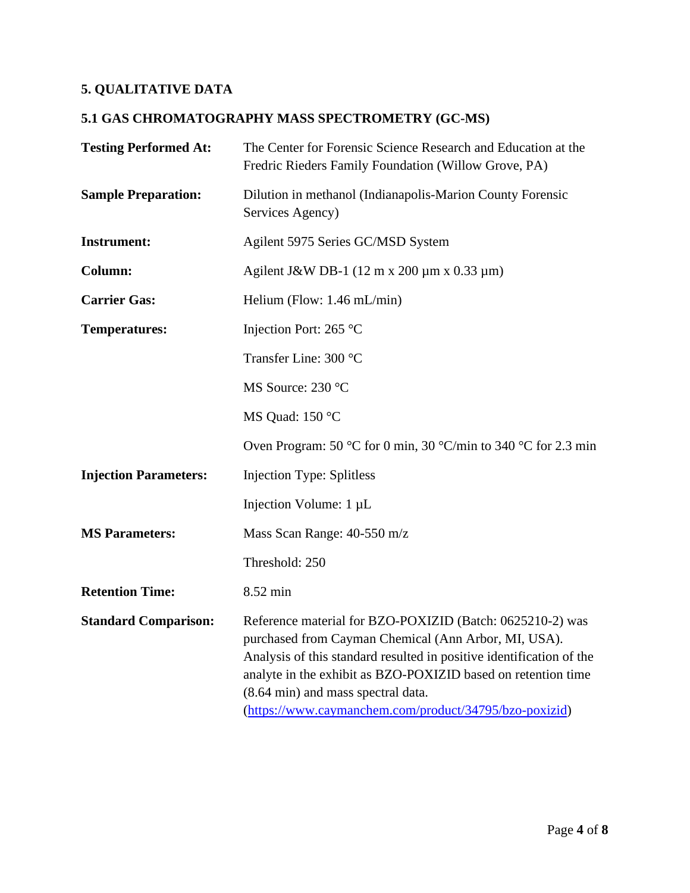# **5. QUALITATIVE DATA**

# **5.1 GAS CHROMATOGRAPHY MASS SPECTROMETRY (GC-MS)**

| <b>Testing Performed At:</b> | The Center for Forensic Science Research and Education at the<br>Fredric Rieders Family Foundation (Willow Grove, PA)                                                                                                                                                                                                                                      |
|------------------------------|------------------------------------------------------------------------------------------------------------------------------------------------------------------------------------------------------------------------------------------------------------------------------------------------------------------------------------------------------------|
| <b>Sample Preparation:</b>   | Dilution in methanol (Indianapolis-Marion County Forensic<br>Services Agency)                                                                                                                                                                                                                                                                              |
| <b>Instrument:</b>           | Agilent 5975 Series GC/MSD System                                                                                                                                                                                                                                                                                                                          |
| Column:                      | Agilent J&W DB-1 $(12 \text{ m x } 200 \text{ µm x } 0.33 \text{ µm})$                                                                                                                                                                                                                                                                                     |
| <b>Carrier Gas:</b>          | Helium (Flow: $1.46$ mL/min)                                                                                                                                                                                                                                                                                                                               |
| <b>Temperatures:</b>         | Injection Port: 265 °C                                                                                                                                                                                                                                                                                                                                     |
|                              | Transfer Line: 300 °C                                                                                                                                                                                                                                                                                                                                      |
|                              | MS Source: 230 °C                                                                                                                                                                                                                                                                                                                                          |
|                              | MS Quad: 150 °C                                                                                                                                                                                                                                                                                                                                            |
|                              | Oven Program: 50 °C for 0 min, 30 °C/min to 340 °C for 2.3 min                                                                                                                                                                                                                                                                                             |
| <b>Injection Parameters:</b> | <b>Injection Type: Splitless</b>                                                                                                                                                                                                                                                                                                                           |
|                              | Injection Volume: 1 µL                                                                                                                                                                                                                                                                                                                                     |
| <b>MS Parameters:</b>        | Mass Scan Range: 40-550 m/z                                                                                                                                                                                                                                                                                                                                |
|                              | Threshold: 250                                                                                                                                                                                                                                                                                                                                             |
| <b>Retention Time:</b>       | 8.52 min                                                                                                                                                                                                                                                                                                                                                   |
| <b>Standard Comparison:</b>  | Reference material for BZO-POXIZID (Batch: 0625210-2) was<br>purchased from Cayman Chemical (Ann Arbor, MI, USA).<br>Analysis of this standard resulted in positive identification of the<br>analyte in the exhibit as BZO-POXIZID based on retention time<br>(8.64 min) and mass spectral data.<br>(https://www.caymanchem.com/product/34795/bzo-poxizid) |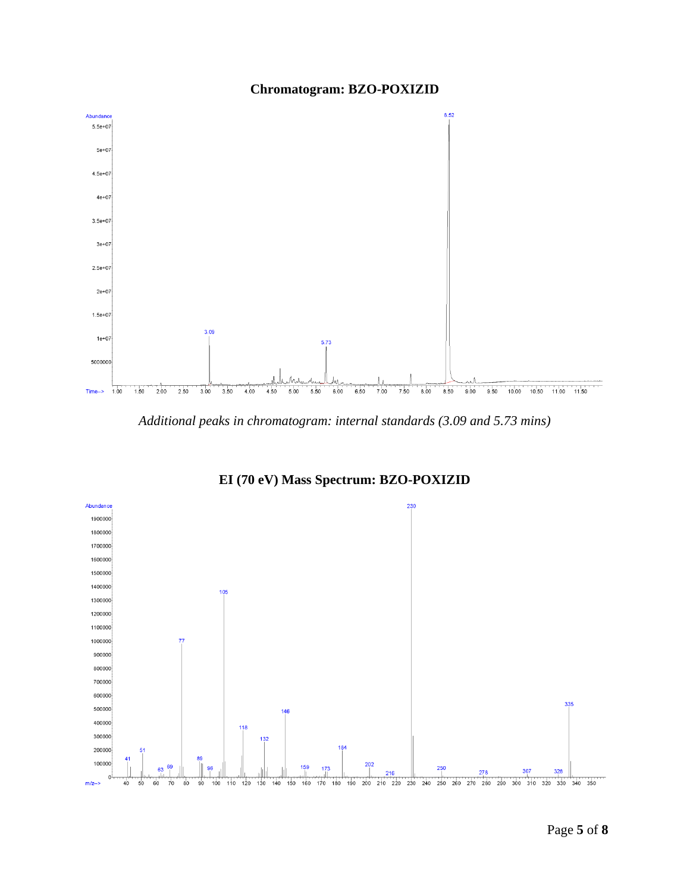

### **Chromatogram: BZO-POXIZID**

*Additional peaks in chromatogram: internal standards (3.09 and 5.73 mins)*



**EI (70 eV) Mass Spectrum: BZO-POXIZID**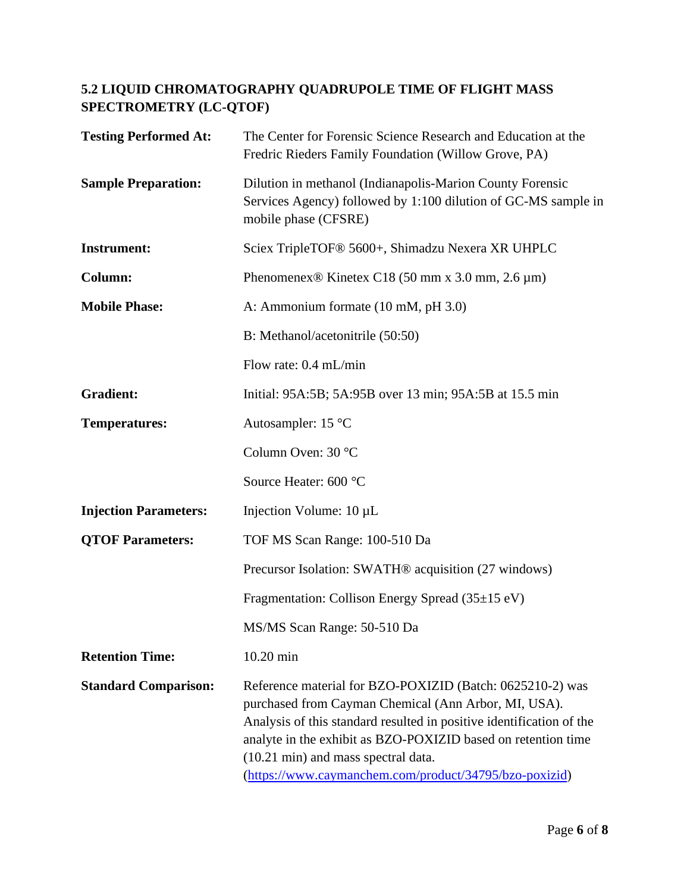## **5.2 LIQUID CHROMATOGRAPHY QUADRUPOLE TIME OF FLIGHT MASS SPECTROMETRY (LC-QTOF)**

| <b>Testing Performed At:</b> | The Center for Forensic Science Research and Education at the<br>Fredric Rieders Family Foundation (Willow Grove, PA)                                                                                                                                                                                                                                       |
|------------------------------|-------------------------------------------------------------------------------------------------------------------------------------------------------------------------------------------------------------------------------------------------------------------------------------------------------------------------------------------------------------|
| <b>Sample Preparation:</b>   | Dilution in methanol (Indianapolis-Marion County Forensic<br>Services Agency) followed by 1:100 dilution of GC-MS sample in<br>mobile phase (CFSRE)                                                                                                                                                                                                         |
| <b>Instrument:</b>           | Sciex TripleTOF <sup>®</sup> 5600+, Shimadzu Nexera XR UHPLC                                                                                                                                                                                                                                                                                                |
| Column:                      | Phenomenex <sup>®</sup> Kinetex C18 (50 mm x 3.0 mm, 2.6 $\mu$ m)                                                                                                                                                                                                                                                                                           |
| <b>Mobile Phase:</b>         | A: Ammonium formate (10 mM, pH 3.0)                                                                                                                                                                                                                                                                                                                         |
|                              | B: Methanol/acetonitrile (50:50)                                                                                                                                                                                                                                                                                                                            |
|                              | Flow rate: 0.4 mL/min                                                                                                                                                                                                                                                                                                                                       |
| <b>Gradient:</b>             | Initial: 95A:5B; 5A:95B over 13 min; 95A:5B at 15.5 min                                                                                                                                                                                                                                                                                                     |
| <b>Temperatures:</b>         | Autosampler: 15 °C                                                                                                                                                                                                                                                                                                                                          |
|                              | Column Oven: 30 °C                                                                                                                                                                                                                                                                                                                                          |
|                              | Source Heater: 600 °C                                                                                                                                                                                                                                                                                                                                       |
| <b>Injection Parameters:</b> | Injection Volume: $10 \mu L$                                                                                                                                                                                                                                                                                                                                |
| <b>QTOF Parameters:</b>      | TOF MS Scan Range: 100-510 Da                                                                                                                                                                                                                                                                                                                               |
|                              | Precursor Isolation: SWATH <sup>®</sup> acquisition (27 windows)                                                                                                                                                                                                                                                                                            |
|                              | Fragmentation: Collison Energy Spread (35±15 eV)                                                                                                                                                                                                                                                                                                            |
|                              | MS/MS Scan Range: 50-510 Da                                                                                                                                                                                                                                                                                                                                 |
| <b>Retention Time:</b>       | 10.20 min                                                                                                                                                                                                                                                                                                                                                   |
| <b>Standard Comparison:</b>  | Reference material for BZO-POXIZID (Batch: 0625210-2) was<br>purchased from Cayman Chemical (Ann Arbor, MI, USA).<br>Analysis of this standard resulted in positive identification of the<br>analyte in the exhibit as BZO-POXIZID based on retention time<br>(10.21 min) and mass spectral data.<br>(https://www.caymanchem.com/product/34795/bzo-poxizid) |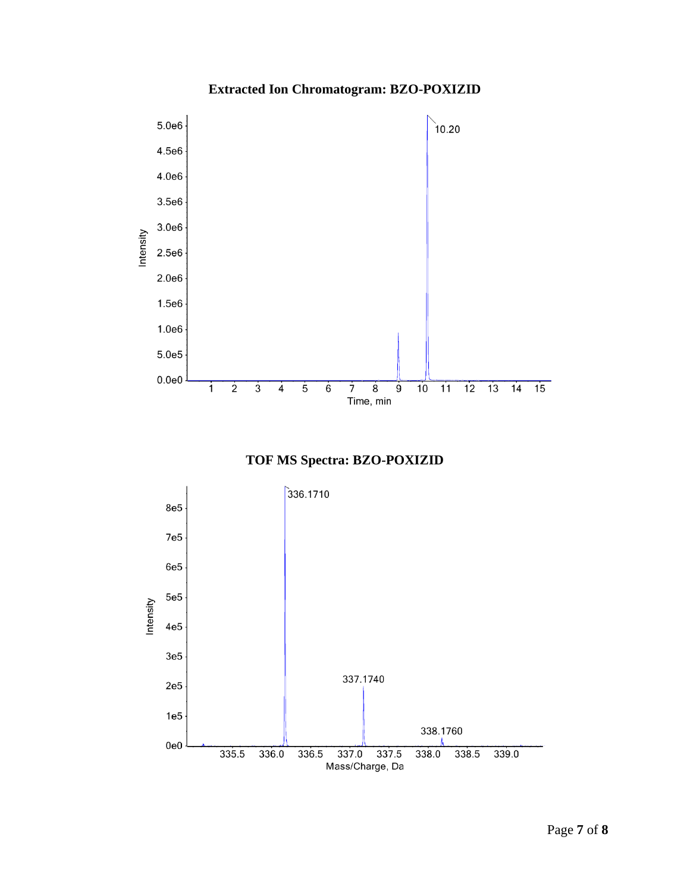# **Extracted Ion Chromatogram: BZO-POXIZID**